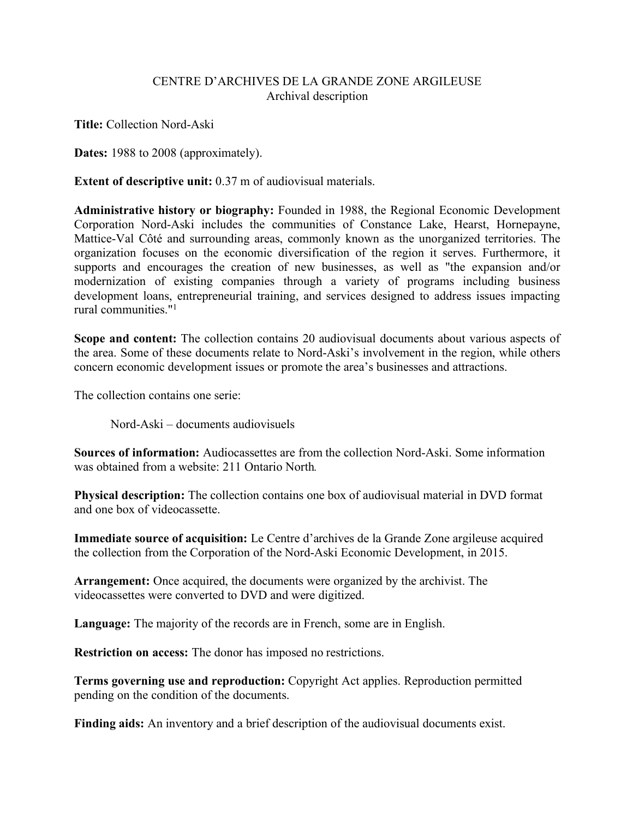## CENTRE D'ARCHIVES DE LA GRANDE ZONE ARGILEUSE Archival description

**Title:** Collection Nord-Aski

**Dates:** 1988 to 2008 (approximately).

**Extent of descriptive unit:** 0.37 m of audiovisual materials.

**Administrative history or biography:** Founded in 1988, the Regional Economic Development Corporation Nord-Aski includes the communities of Constance Lake, Hearst, Hornepayne, Mattice-Val Côté and surrounding areas, commonly known as the unorganized territories. The organization focuses on the economic diversification of the region it serves. Furthermore, it supports and encourages the creation of new businesses, as well as "the expansion and/or modernization of existing companies through a variety of programs including business development loans, entrepreneurial training, and services designed to address issues impacting rural communities."1

**Scope and content:** The collection contains 20 audiovisual documents about various aspects of the area. Some of these documents relate to Nord-Aski's involvement in the region, while others concern economic development issues or promote the area's businesses and attractions.

The collection contains one serie:

Nord-Aski – documents audiovisuels

**Sources of information:** Audiocassettes are from the collection Nord-Aski. Some information was obtained from a website: 211 Ontario North*.*

**Physical description:** The collection contains one box of audiovisual material in DVD format and one box of videocassette.

**Immediate source of acquisition:** Le Centre d'archives de la Grande Zone argileuse acquired the collection from the Corporation of the Nord-Aski Economic Development, in 2015.

**Arrangement:** Once acquired, the documents were organized by the archivist. The videocassettes were converted to DVD and were digitized.

**Language:** The majority of the records are in French, some are in English.

**Restriction on access:** The donor has imposed no restrictions.

**Terms governing use and reproduction:** Copyright Act applies. Reproduction permitted pending on the condition of the documents.

**Finding aids:** An inventory and a brief description of the audiovisual documents exist.